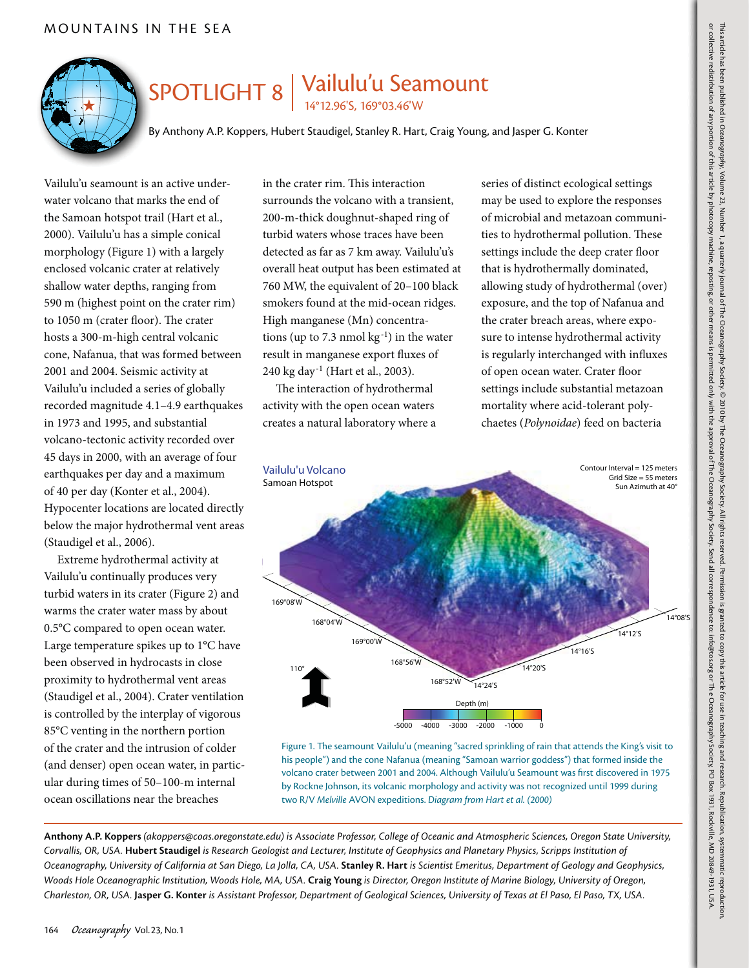

## SPOTLIGHT 8 | Vailulu'u Seamount

14°12.96'S, 169°03.46'W

By Anthony A.P. Koppers, Hubert Staudigel, Stanley R. Hart, Craig Young, and Jasper G. Konter

Vailulu'u seamount is an active underwater volcano that marks the end of the Samoan hotspot trail (Hart et al*.*, 2000). Vailulu'u has a simple conical morphology (Figure 1) with a largely enclosed volcanic crater at relatively shallow water depths, ranging from 590 m (highest point on the crater rim) to 1050 m (crater floor). The crater hosts a 300-m-high central volcanic cone, Nafanua, that was formed between 2001 and 2004. Seismic activity at Vailulu'u included a series of globally recorded magnitude 4.1–4.9 earthquakes in 1973 and 1995, and substantial volcano-tectonic activity recorded over 45 days in 2000, with an average of four earthquakes per day and a maximum of 40 per day (Konter et al., 2004). Hypocenter locations are located directly below the major hydrothermal vent areas (Staudigel et al., 2006).

Extreme hydrothermal activity at Vailulu'u continually produces very turbid waters in its crater (Figure 2) and warms the crater water mass by about 0.5°C compared to open ocean water. Large temperature spikes up to 1°C have been observed in hydrocasts in close proximity to hydrothermal vent areas (Staudigel et al., 2004). Crater ventilation is controlled by the interplay of vigorous 85°C venting in the northern portion of the crater and the intrusion of colder (and denser) open ocean water, in particular during times of 50–100-m internal ocean oscillations near the breaches

in the crater rim. This interaction surrounds the volcano with a transient, 200-m-thick doughnut-shaped ring of turbid waters whose traces have been detected as far as 7 km away. Vailulu'u's overall heat output has been estimated at 760 MW, the equivalent of 20–100 black smokers found at the mid-ocean ridges. High manganese (Mn) concentrations (up to 7.3 nmol  $kg^{-1}$ ) in the water result in manganese export fluxes of 240 kg day-1 (Hart et al., 2003).

The interaction of hydrothermal activity with the open ocean waters creates a natural laboratory where a series of distinct ecological settings may be used to explore the responses of microbial and metazoan communities to hydrothermal pollution. These settings include the deep crater floor that is hydrothermally dominated, allowing study of hydrothermal (over) exposure, and the top of Nafanua and the crater breach areas, where exposure to intense hydrothermal activity is regularly interchanged with influxes of open ocean water. Crater floor settings include substantial metazoan mortality where acid-tolerant polychaetes (*Polynoidae*) feed on bacteria



Figure 1. The seamount Vailulu'u (meaning "sacred sprinkling of rain that attends the King's visit to his people") and the cone Nafanua (meaning "Samoan warrior goddess") that formed inside the volcano crater between 2001 and 2004. Although Vailulu'u Seamount was first discovered in 1975 by Rockne Johnson, its volcanic morphology and activity was not recognized until 1999 during two R/V *Melville* AVON expeditions. *Diagram from Hart et al. (2000)*

**Anthony A.P. Koppers** *(akoppers@coas.oregonstate.edu) is Associate Professor, College of Oceanic and Atmospheric Sciences, Oregon State University, Corvallis, OR, USA.* **Hubert Staudigel** *is Research Geologist and Lecturer, Institute of Geophysics and Planetary Physics, Scripps Institution of Oceanography, University of California at San Diego, La Jolla, CA, USA.* **Stanley R. Hart** *is Scientist Emeritus, Department of Geology and Geophysics, Woods Hole Oceanographic Institution, Woods Hole, MA, USA.* **Craig Young** *is Director, Oregon Institute of Marine Biology, University of Oregon, Charleston, OR, USA.* **Jasper G. Konter** *is Assistant Professor, Department of Geological Sciences, University of Texas at El Paso, El Paso, TX, USA.*